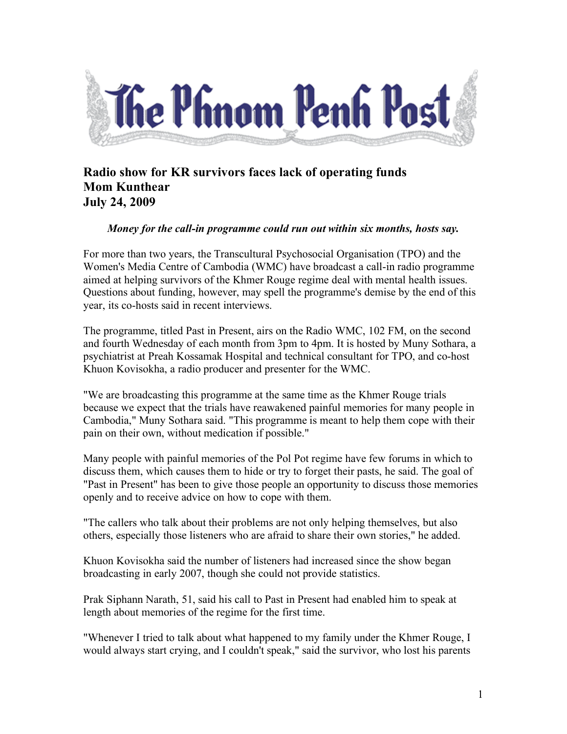

## **Radio show for KR survivors faces lack of operating funds Mom Kunthear July 24, 2009**

## *Money for the call-in programme could run out within six months, hosts say.*

For more than two years, the Transcultural Psychosocial Organisation (TPO) and the Women's Media Centre of Cambodia (WMC) have broadcast a call-in radio programme aimed at helping survivors of the Khmer Rouge regime deal with mental health issues. Questions about funding, however, may spell the programme's demise by the end of this year, its co-hosts said in recent interviews.

The programme, titled Past in Present, airs on the Radio WMC, 102 FM, on the second and fourth Wednesday of each month from 3pm to 4pm. It is hosted by Muny Sothara, a psychiatrist at Preah Kossamak Hospital and technical consultant for TPO, and co-host Khuon Kovisokha, a radio producer and presenter for the WMC.

"We are broadcasting this programme at the same time as the Khmer Rouge trials because we expect that the trials have reawakened painful memories for many people in Cambodia," Muny Sothara said. "This programme is meant to help them cope with their pain on their own, without medication if possible."

Many people with painful memories of the Pol Pot regime have few forums in which to discuss them, which causes them to hide or try to forget their pasts, he said. The goal of "Past in Present" has been to give those people an opportunity to discuss those memories openly and to receive advice on how to cope with them.

"The callers who talk about their problems are not only helping themselves, but also others, especially those listeners who are afraid to share their own stories," he added.

Khuon Kovisokha said the number of listeners had increased since the show began broadcasting in early 2007, though she could not provide statistics.

Prak Siphann Narath, 51, said his call to Past in Present had enabled him to speak at length about memories of the regime for the first time.

"Whenever I tried to talk about what happened to my family under the Khmer Rouge, I would always start crying, and I couldn't speak," said the survivor, who lost his parents